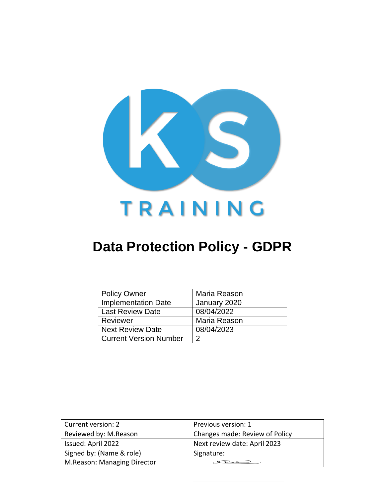

# **Data Protection Policy - GDPR**

| <b>Policy Owner</b>           | Maria Reason |
|-------------------------------|--------------|
| <b>Implementation Date</b>    | January 2020 |
| <b>Last Review Date</b>       | 08/04/2022   |
| Reviewer                      | Maria Reason |
| <b>Next Review Date</b>       | 08/04/2023   |
| <b>Current Version Number</b> | າ            |

| Current version: 2          | Previous version: 1            |
|-----------------------------|--------------------------------|
| Reviewed by: M.Reason       | Changes made: Review of Policy |
| Issued: April 2022          | Next review date: April 2023   |
| Signed by: (Name & role)    | Signature:                     |
| M.Reason: Managing Director | $Q_{P}$                        |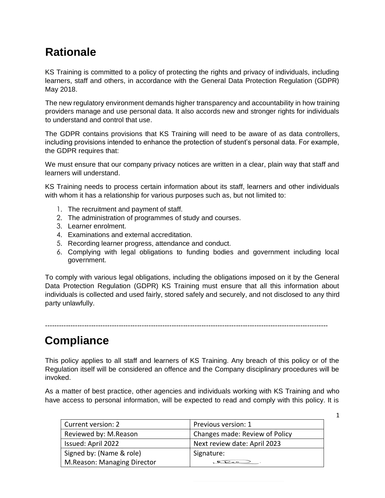## **Rationale**

KS Training is committed to a policy of protecting the rights and privacy of individuals, including learners, staff and others, in accordance with the General Data Protection Regulation (GDPR) May 2018.

The new regulatory environment demands higher transparency and accountability in how training providers manage and use personal data. It also accords new and stronger rights for individuals to understand and control that use.

The GDPR contains provisions that KS Training will need to be aware of as data controllers, including provisions intended to enhance the protection of student's personal data. For example, the GDPR requires that:

We must ensure that our company privacy notices are written in a clear, plain way that staff and learners will understand.

KS Training needs to process certain information about its staff, learners and other individuals with whom it has a relationship for various purposes such as, but not limited to:

- 1. The recruitment and payment of staff.
- 2. The administration of programmes of study and courses.
- 3. Learner enrolment.
- 4. Examinations and external accreditation.
- 5. Recording learner progress, attendance and conduct.
- 6. Complying with legal obligations to funding bodies and government including local government.

To comply with various legal obligations, including the obligations imposed on it by the General Data Protection Regulation (GDPR) KS Training must ensure that all this information about individuals is collected and used fairly, stored safely and securely, and not disclosed to any third party unlawfully.

---------------------------------------------------------------------------------------------------------------------------

### **Compliance**

This policy applies to all staff and learners of KS Training. Any breach of this policy or of the Regulation itself will be considered an offence and the Company disciplinary procedures will be invoked.

As a matter of best practice, other agencies and individuals working with KS Training and who have access to personal information, will be expected to read and comply with this policy. It is

| Current version: 2          | Previous version: 1            |
|-----------------------------|--------------------------------|
| Reviewed by: M.Reason       | Changes made: Review of Policy |
| Issued: April 2022          | Next review date: April 2023   |
| Signed by: (Name & role)    | Signature:                     |
| M.Reason: Managing Director |                                |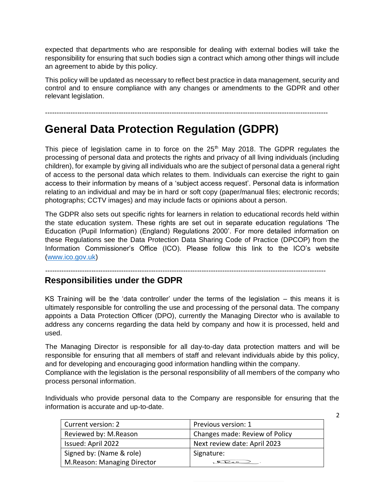expected that departments who are responsible for dealing with external bodies will take the responsibility for ensuring that such bodies sign a contract which among other things will include an agreement to abide by this policy.

This policy will be updated as necessary to reflect best practice in data management, security and control and to ensure compliance with any changes or amendments to the GDPR and other relevant legislation.

---------------------------------------------------------------------------------------------------------------------------

## **General Data Protection Regulation (GDPR)**

This piece of legislation came in to force on the  $25<sup>th</sup>$  May 2018. The GDPR regulates the processing of personal data and protects the rights and privacy of all living individuals (including children), for example by giving all individuals who are the subject of personal data a general right of access to the personal data which relates to them. Individuals can exercise the right to gain access to their information by means of a 'subject access request'. Personal data is information relating to an individual and may be in hard or soft copy (paper/manual files; electronic records; photographs; CCTV images) and may include facts or opinions about a person.

The GDPR also sets out specific rights for learners in relation to educational records held within the state education system. These rights are set out in separate education regulations 'The Education (Pupil Information) (England) Regulations 2000'. For more detailed information on these Regulations see the Data Protection Data Sharing Code of Practice (DPCOP) from the Information Commissioner's Office (ICO). Please follow this link to the ICO's website [\(www.ico.gov.uk\)](http://www.ico.gov.uk/)

--------------------------------------------------------------------------------------------------------------------------

### **Responsibilities under the GDPR**

KS Training will be the 'data controller' under the terms of the legislation – this means it is ultimately responsible for controlling the use and processing of the personal data. The company appoints a Data Protection Officer (DPO), currently the Managing Director who is available to address any concerns regarding the data held by company and how it is processed, held and used.

The Managing Director is responsible for all day-to-day data protection matters and will be responsible for ensuring that all members of staff and relevant individuals abide by this policy, and for developing and encouraging good information handling within the company.

Compliance with the legislation is the personal responsibility of all members of the company who process personal information.

Individuals who provide personal data to the Company are responsible for ensuring that the information is accurate and up-to-date.

| Current version: 2          | Previous version: 1            |
|-----------------------------|--------------------------------|
| Reviewed by: M.Reason       | Changes made: Review of Policy |
| Issued: April 2022          | Next review date: April 2023   |
| Signed by: (Name & role)    | Signature:                     |
| M.Reason: Managing Director | $Q_{\text{P}}$                 |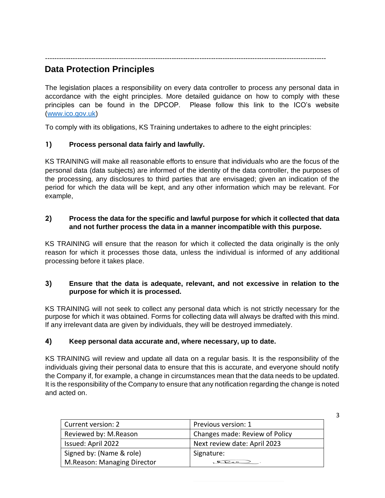--------------------------------------------------------------------------------------------------------------------------

### **Data Protection Principles**

The legislation places a responsibility on every data controller to process any personal data in accordance with the eight principles. More detailed guidance on how to comply with these principles can be found in the DPCOP. Please follow this link to the ICO's website [\(www.ico.gov.uk\)](http://www.ico.gov.uk/)

To comply with its obligations, KS Training undertakes to adhere to the eight principles:

#### **1) Process personal data fairly and lawfully.**

KS TRAINING will make all reasonable efforts to ensure that individuals who are the focus of the personal data (data subjects) are informed of the identity of the data controller, the purposes of the processing, any disclosures to third parties that are envisaged; given an indication of the period for which the data will be kept, and any other information which may be relevant. For example,

#### **2) Process the data for the specific and lawful purpose for which it collected that data and not further process the data in a manner incompatible with this purpose.**

KS TRAINING will ensure that the reason for which it collected the data originally is the only reason for which it processes those data, unless the individual is informed of any additional processing before it takes place.

#### **3) Ensure that the data is adequate, relevant, and not excessive in relation to the purpose for which it is processed.**

KS TRAINING will not seek to collect any personal data which is not strictly necessary for the purpose for which it was obtained. Forms for collecting data will always be drafted with this mind. If any irrelevant data are given by individuals, they will be destroyed immediately.

#### **4) Keep personal data accurate and, where necessary, up to date.**

KS TRAINING will review and update all data on a regular basis. It is the responsibility of the individuals giving their personal data to ensure that this is accurate, and everyone should notify the Company if, for example, a change in circumstances mean that the data needs to be updated. It is the responsibility of the Company to ensure that any notification regarding the change is noted and acted on.

| Current version: 2          | Previous version: 1            |
|-----------------------------|--------------------------------|
| Reviewed by: M.Reason       | Changes made: Review of Policy |
| Issued: April 2022          | Next review date: April 2023   |
| Signed by: (Name & role)    | Signature:                     |
| M.Reason: Managing Director | $Q_{\text{S}}$                 |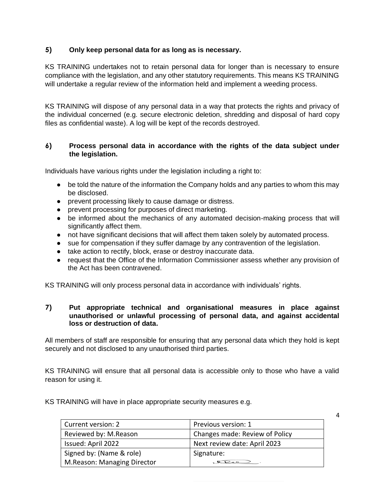#### **5) Only keep personal data for as long as is necessary.**

KS TRAINING undertakes not to retain personal data for longer than is necessary to ensure compliance with the legislation, and any other statutory requirements. This means KS TRAINING will undertake a regular review of the information held and implement a weeding process.

KS TRAINING will dispose of any personal data in a way that protects the rights and privacy of the individual concerned (e.g. secure electronic deletion, shredding and disposal of hard copy files as confidential waste). A log will be kept of the records destroyed.

#### **6) Process personal data in accordance with the rights of the data subject under the legislation.**

Individuals have various rights under the legislation including a right to:

- be told the nature of the information the Company holds and any parties to whom this may be disclosed.
- prevent processing likely to cause damage or distress.
- prevent processing for purposes of direct marketing.
- be informed about the mechanics of any automated decision-making process that will significantly affect them.
- not have significant decisions that will affect them taken solely by automated process.
- sue for compensation if they suffer damage by any contravention of the legislation.
- take action to rectify, block, erase or destroy inaccurate data.
- request that the Office of the Information Commissioner assess whether any provision of the Act has been contravened.

KS TRAINING will only process personal data in accordance with individuals' rights.

#### **7) Put appropriate technical and organisational measures in place against unauthorised or unlawful processing of personal data, and against accidental loss or destruction of data.**

All members of staff are responsible for ensuring that any personal data which they hold is kept securely and not disclosed to any unauthorised third parties.

KS TRAINING will ensure that all personal data is accessible only to those who have a valid reason for using it.

KS TRAINING will have in place appropriate security measures e.g.

| Current version: 2          | Previous version: 1            |
|-----------------------------|--------------------------------|
| Reviewed by: M.Reason       | Changes made: Review of Policy |
| Issued: April 2022          | Next review date: April 2023   |
| Signed by: (Name & role)    | Signature:                     |
| M.Reason: Managing Director |                                |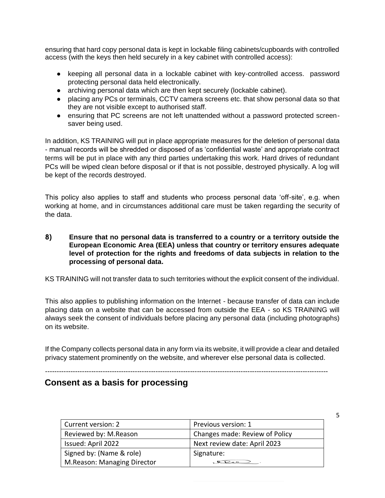ensuring that hard copy personal data is kept in lockable filing cabinets/cupboards with controlled access (with the keys then held securely in a key cabinet with controlled access):

- keeping all personal data in a lockable cabinet with key-controlled access. password protecting personal data held electronically.
- archiving personal data which are then kept securely (lockable cabinet).
- placing any PCs or terminals, CCTV camera screens etc. that show personal data so that they are not visible except to authorised staff.
- ensuring that PC screens are not left unattended without a password protected screensaver being used.

In addition, KS TRAINING will put in place appropriate measures for the deletion of personal data - manual records will be shredded or disposed of as 'confidential waste' and appropriate contract terms will be put in place with any third parties undertaking this work. Hard drives of redundant PCs will be wiped clean before disposal or if that is not possible, destroyed physically. A log will be kept of the records destroyed.

This policy also applies to staff and students who process personal data 'off-site', e.g. when working at home, and in circumstances additional care must be taken regarding the security of the data.

**8) Ensure that no personal data is transferred to a country or a territory outside the European Economic Area (EEA) unless that country or territory ensures adequate level of protection for the rights and freedoms of data subjects in relation to the processing of personal data.** 

KS TRAINING will not transfer data to such territories without the explicit consent of the individual.

This also applies to publishing information on the Internet - because transfer of data can include placing data on a website that can be accessed from outside the EEA - so KS TRAINING will always seek the consent of individuals before placing any personal data (including photographs) on its website.

If the Company collects personal data in any form via its website, it will provide a clear and detailed privacy statement prominently on the website, and wherever else personal data is collected.

---------------------------------------------------------------------------------------------------------------------------

#### **Consent as a basis for processing**

| Current version: 2          | Previous version: 1            |
|-----------------------------|--------------------------------|
| Reviewed by: M.Reason       | Changes made: Review of Policy |
| Issued: April 2022          | Next review date: April 2023   |
| Signed by: (Name & role)    | Signature:                     |
| M.Reason: Managing Director |                                |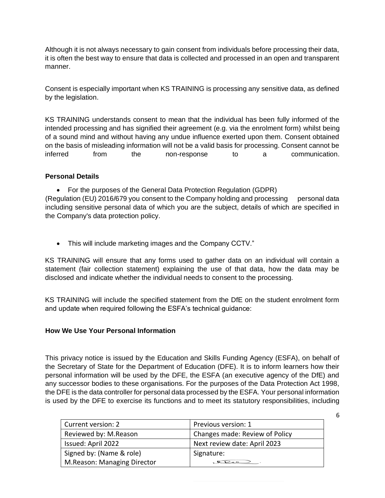Although it is not always necessary to gain consent from individuals before processing their data, it is often the best way to ensure that data is collected and processed in an open and transparent manner.

Consent is especially important when KS TRAINING is processing any sensitive data, as defined by the legislation.

KS TRAINING understands consent to mean that the individual has been fully informed of the intended processing and has signified their agreement (e.g. via the enrolment form) whilst being of a sound mind and without having any undue influence exerted upon them. Consent obtained on the basis of misleading information will not be a valid basis for processing. Consent cannot be inferred from the non-response to a communication.

#### **Personal Details**

• For the purposes of the General Data Protection Regulation (GDPR)

(Regulation (EU) 2016/679 you consent to the Company holding and processing personal data including sensitive personal data of which you are the subject, details of which are specified in the Company's data protection policy.

• This will include marketing images and the Company CCTV."

KS TRAINING will ensure that any forms used to gather data on an individual will contain a statement (fair collection statement) explaining the use of that data, how the data may be disclosed and indicate whether the individual needs to consent to the processing.

KS TRAINING will include the specified statement from the DfE on the student enrolment form and update when required following the ESFA's technical guidance:

#### **How We Use Your Personal Information**

This privacy notice is issued by the Education and Skills Funding Agency (ESFA), on behalf of the Secretary of State for the Department of Education (DFE). It is to inform learners how their personal information will be used by the DFE, the ESFA (an executive agency of the DfE) and any successor bodies to these organisations. For the purposes of the Data Protection Act 1998, the DFE is the data controller for personal data processed by the ESFA. Your personal information is used by the DFE to exercise its functions and to meet its statutory responsibilities, including

| Current version: 2          | Previous version: 1            |
|-----------------------------|--------------------------------|
| Reviewed by: M.Reason       | Changes made: Review of Policy |
| Issued: April 2022          | Next review date: April 2023   |
| Signed by: (Name & role)    | Signature:                     |
| M.Reason: Managing Director |                                |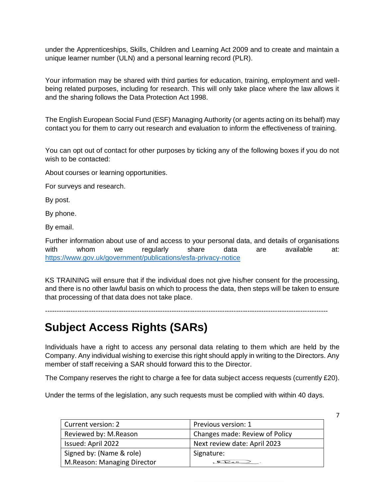under the Apprenticeships, Skills, Children and Learning Act 2009 and to create and maintain a unique learner number (ULN) and a personal learning record (PLR).

Your information may be shared with third parties for education, training, employment and wellbeing related purposes, including for research. This will only take place where the law allows it and the sharing follows the Data Protection Act 1998.

The English European Social Fund (ESF) Managing Authority (or agents acting on its behalf) may contact you for them to carry out research and evaluation to inform the effectiveness of training.

You can opt out of contact for other purposes by ticking any of the following boxes if you do not wish to be contacted:

About courses or learning opportunities.

For surveys and research.

By post.

By phone.

By email.

Further information about use of and access to your personal data, and details of organisations with whom we regularly share data are available at: <https://www.gov.uk/government/publications/esfa-privacy-notice>

KS TRAINING will ensure that if the individual does not give his/her consent for the processing, and there is no other lawful basis on which to process the data, then steps will be taken to ensure that processing of that data does not take place.

---------------------------------------------------------------------------------------------------------------------------

## **Subject Access Rights (SARs)**

Individuals have a right to access any personal data relating to them which are held by the Company. Any individual wishing to exercise this right should apply in writing to the Directors. Any member of staff receiving a SAR should forward this to the Director.

The Company reserves the right to charge a fee for data subject access requests (currently £20).

Under the terms of the legislation, any such requests must be complied with within 40 days.

| Current version: 2          | Previous version: 1            |
|-----------------------------|--------------------------------|
| Reviewed by: M.Reason       | Changes made: Review of Policy |
| Issued: April 2022          | Next review date: April 2023   |
| Signed by: (Name & role)    | Signature:                     |
| M.Reason: Managing Director |                                |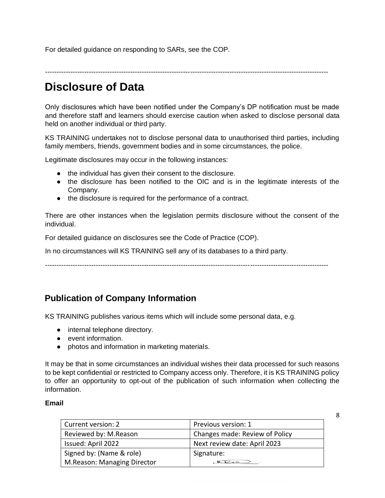For detailed guidance on responding to SARs, see the COP.

---------------------------------------------------------------------------------------------------------------------------

## **Disclosure of Data**

Only disclosures which have been notified under the Company's DP notification must be made and therefore staff and learners should exercise caution when asked to disclose personal data held on another individual or third party.

KS TRAINING undertakes not to disclose personal data to unauthorised third parties, including family members, friends, government bodies and in some circumstances, the police.

Legitimate disclosures may occur in the following instances:

- the individual has given their consent to the disclosure.
- the disclosure has been notified to the OIC and is in the legitimate interests of the Company.
- the disclosure is required for the performance of a contract.

There are other instances when the legislation permits disclosure without the consent of the individual.

For detailed guidance on disclosures see the Code of Practice (COP).

In no circumstances will KS TRAINING sell any of its databases to a third party.

---------------------------------------------------------------------------------------------------------------------------

### **Publication of Company Information**

KS TRAINING publishes various items which will include some personal data, e.g.

- internal telephone directory.
- event information.
- photos and information in marketing materials.

It may be that in some circumstances an individual wishes their data processed for such reasons to be kept confidential or restricted to Company access only. Therefore, it is KS TRAINING policy to offer an opportunity to opt-out of the publication of such information when collecting the information.

#### **Email**

| Current version: 2          | Previous version: 1            |
|-----------------------------|--------------------------------|
| Reviewed by: M.Reason       | Changes made: Review of Policy |
| Issued: April 2022          | Next review date: April 2023   |
| Signed by: (Name & role)    | Signature:                     |
| M.Reason: Managing Director | $QP_{\alpha}$                  |